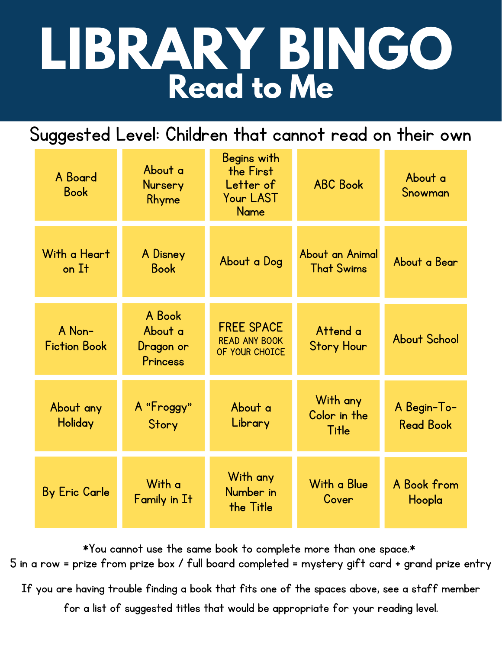# **LIBRARY BINGO Read to Me**

Suggested Level: Children that cannot read on their own

| A Board<br><b>Book</b>        | About a<br>Nursery<br>Rhyme                | Begins with<br>the First<br>Letter of<br>Your LAST<br><b>Name</b> | <b>ABC Book</b>                      | About a<br>Snowman              |
|-------------------------------|--------------------------------------------|-------------------------------------------------------------------|--------------------------------------|---------------------------------|
| With a Heart<br>on It         | A Disney<br><b>Book</b>                    | About a Dog                                                       | About an Animal<br><b>That Swims</b> | About a Bear                    |
| A Non-<br><b>Fiction Book</b> | A Book<br>About a<br>Dragon or<br>Princess | <b>FREE SPACE</b><br><b>READ ANY BOOK</b><br>OF YOUR CHOICE       | Attend a<br><b>Story Hour</b>        | <b>About School</b>             |
| About any<br>Holiday          | A "Froggy"<br>Story                        | About a<br>Library                                                | With any<br>Color in the<br>Title    | A Begin-To-<br><b>Read Book</b> |
| <b>By Eric Carle</b>          | With a<br>Family in It                     | With any<br>Number in<br>the Title                                | With a Blue<br>Cover                 | A Book from<br>Hoopla           |

\*You cannot use the same book to complete more than one space.\* 5 in a row = prize from prize box / full board completed = mystery gift card + grand prize entry

If you are having trouble finding a book that fits one of the spaces above, see a staff member

for a list of suggested titles that would be appropriate for your reading level.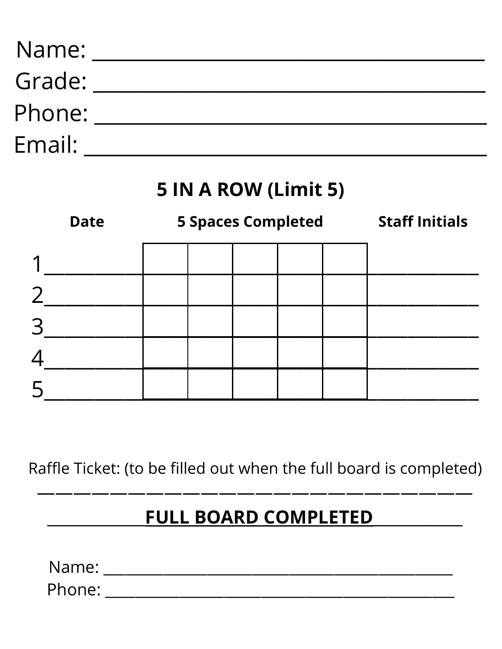| Name:  |  |
|--------|--|
| Grade: |  |
| Phone: |  |
| Email: |  |

## 5 IN A ROW (Limit 5)

|   | <b>5 Spaces Completed</b><br><b>Date</b> |  |  |  |  | <b>Staff Initials</b> |
|---|------------------------------------------|--|--|--|--|-----------------------|
|   |                                          |  |  |  |  |                       |
|   |                                          |  |  |  |  |                       |
| 3 |                                          |  |  |  |  |                       |
|   |                                          |  |  |  |  |                       |
| 5 |                                          |  |  |  |  |                       |

Raffle Ticket: (to be filled out when the full board is completed)

## FULL BOARD COMPLETED